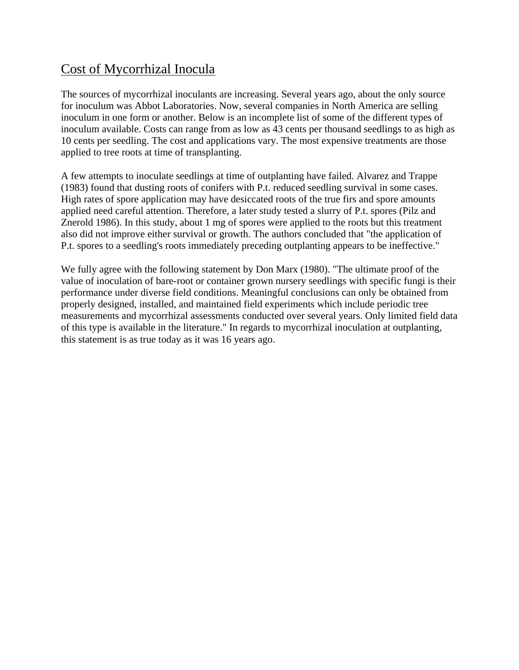# Cost of Mycorrhizal Inocula

The sources of mycorrhizal inoculants are increasing. Several years ago, about the only source for inoculum was Abbot Laboratories. Now, several companies in North America are selling inoculum in one form or another. Below is an incomplete list of some of the different types of inoculum available. Costs can range from as low as 43 cents per thousand seedlings to as high as 10 cents per seedling. The cost and applications vary. The most expensive treatments are those applied to tree roots at time of transplanting.

A few attempts to inoculate seedlings at time of outplanting have failed. Alvarez and Trappe (1983) found that dusting roots of conifers with P.t. reduced seedling survival in some cases. High rates of spore application may have desiccated roots of the true firs and spore amounts applied need careful attention. Therefore, a later study tested a slurry of P.t. spores (Pilz and Znerold 1986). In this study, about 1 mg of spores were applied to the roots but this treatment also did not improve either survival or growth. The authors concluded that "the application of P.t. spores to a seedling's roots immediately preceding outplanting appears to be ineffective."

We fully agree with the following statement by Don Marx (1980). "The ultimate proof of the value of inoculation of bare-root or container grown nursery seedlings with specific fungi is their performance under diverse field conditions. Meaningful conclusions can only be obtained from properly designed, installed, and maintained field experiments which include periodic tree measurements and mycorrhizal assessments conducted over several years. Only limited field data of this type is available in the literature." In regards to mycorrhizal inoculation at outplanting, this statement is as true today as it was 16 years ago.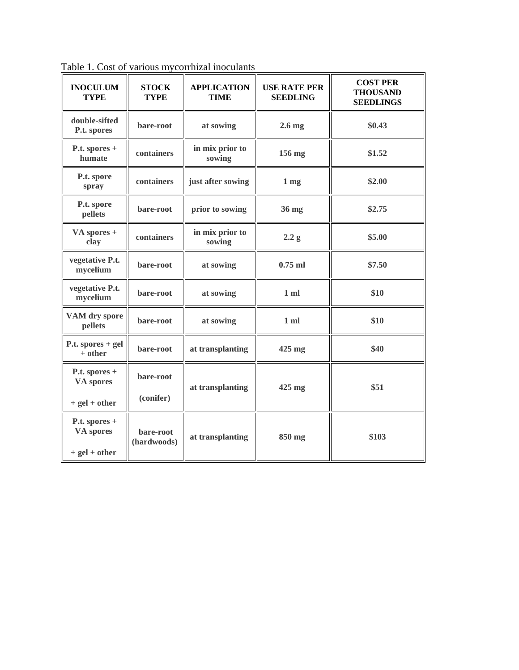| <b>INOCULUM</b><br><b>TYPE</b>                | <b>STOCK</b><br><b>TYPE</b> | <b>APPLICATION</b><br><b>TIME</b> | <b>USE RATE PER</b><br><b>SEEDLING</b> | <b>COST PER</b><br><b>THOUSAND</b><br><b>SEEDLINGS</b> |
|-----------------------------------------------|-----------------------------|-----------------------------------|----------------------------------------|--------------------------------------------------------|
| double-sifted<br>P.t. spores                  | bare-root                   | at sowing                         | $2.6$ mg                               | \$0.43                                                 |
| P.t. spores +<br>humate                       | containers                  | in mix prior to<br>sowing         | 156 mg                                 | \$1.52                                                 |
| P.t. spore<br>spray                           | containers                  | just after sowing                 | 1 <sub>mg</sub>                        | \$2.00                                                 |
| P.t. spore<br>pellets                         | bare-root                   | prior to sowing                   | 36 mg                                  | \$2.75                                                 |
| VA spores +<br>clay                           | containers                  | in mix prior to<br>sowing         | 2.2 g                                  | \$5.00                                                 |
| vegetative P.t.<br>mycelium                   | bare-root                   | at sowing                         | $0.75$ ml                              | \$7.50                                                 |
| vegetative P.t.<br>mycelium                   | bare-root                   | at sowing                         | $1$ ml                                 | \$10                                                   |
| VAM dry spore<br>pellets                      | bare-root                   | at sowing                         | 1 <sub>m</sub>                         | \$10                                                   |
| P.t. spores $+$ gel<br>$+$ other              | bare-root                   | at transplanting                  | $425$ mg                               | \$40                                                   |
| P.t. spores $+$<br>VA spores                  | bare-root                   | at transplanting                  | $425$ mg                               | \$51                                                   |
| $+$ gel $+$ other                             | (conifer)                   |                                   |                                        |                                                        |
| P.t. spores +<br>VA spores<br>$+ gel + other$ | bare-root<br>(hardwoods)    | at transplanting                  | 850 mg                                 | \$103                                                  |

Table 1. Cost of various mycorrhizal inoculants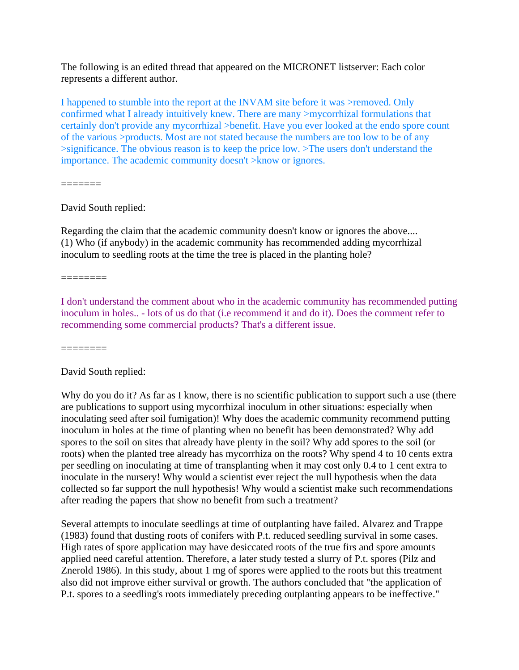The following is an edited thread that appeared on the MICRONET listserver: Each color represents a different author.

I happened to stumble into the report at the INVAM site before it was >removed. Only confirmed what I already intuitively knew. There are many >mycorrhizal formulations that certainly don't provide any mycorrhizal >benefit. Have you ever looked at the endo spore count of the various >products. Most are not stated because the numbers are too low to be of any >significance. The obvious reason is to keep the price low. >The users don't understand the importance. The academic community doesn't >know or ignores.

=======

David South replied:

Regarding the claim that the academic community doesn't know or ignores the above.... (1) Who (if anybody) in the academic community has recommended adding mycorrhizal inoculum to seedling roots at the time the tree is placed in the planting hole?

========

I don't understand the comment about who in the academic community has recommended putting inoculum in holes.. - lots of us do that (i.e recommend it and do it). Does the comment refer to recommending some commercial products? That's a different issue.

========

David South replied:

Why do you do it? As far as I know, there is no scientific publication to support such a use (there are publications to support using mycorrhizal inoculum in other situations: especially when inoculating seed after soil fumigation)! Why does the academic community recommend putting inoculum in holes at the time of planting when no benefit has been demonstrated? Why add spores to the soil on sites that already have plenty in the soil? Why add spores to the soil (or roots) when the planted tree already has mycorrhiza on the roots? Why spend 4 to 10 cents extra per seedling on inoculating at time of transplanting when it may cost only 0.4 to 1 cent extra to inoculate in the nursery! Why would a scientist ever reject the null hypothesis when the data collected so far support the null hypothesis! Why would a scientist make such recommendations after reading the papers that show no benefit from such a treatment?

Several attempts to inoculate seedlings at time of outplanting have failed. Alvarez and Trappe (1983) found that dusting roots of conifers with P.t. reduced seedling survival in some cases. High rates of spore application may have desiccated roots of the true firs and spore amounts applied need careful attention. Therefore, a later study tested a slurry of P.t. spores (Pilz and Znerold 1986). In this study, about 1 mg of spores were applied to the roots but this treatment also did not improve either survival or growth. The authors concluded that "the application of P.t. spores to a seedling's roots immediately preceding outplanting appears to be ineffective."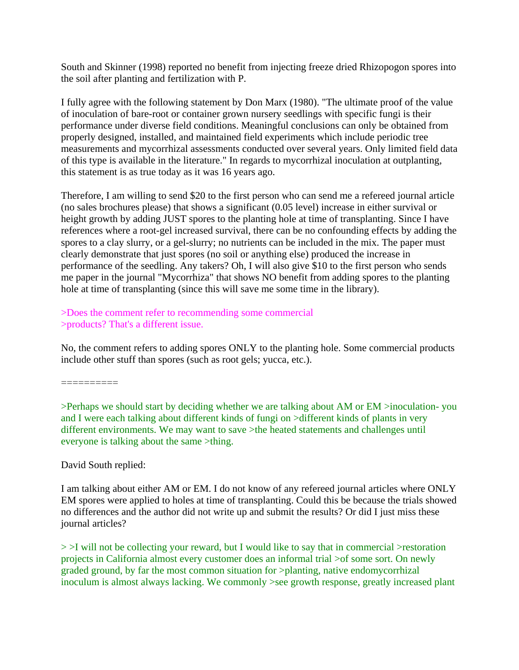South and Skinner (1998) reported no benefit from injecting freeze dried Rhizopogon spores into the soil after planting and fertilization with P.

I fully agree with the following statement by Don Marx (1980). "The ultimate proof of the value of inoculation of bare-root or container grown nursery seedlings with specific fungi is their performance under diverse field conditions. Meaningful conclusions can only be obtained from properly designed, installed, and maintained field experiments which include periodic tree measurements and mycorrhizal assessments conducted over several years. Only limited field data of this type is available in the literature." In regards to mycorrhizal inoculation at outplanting, this statement is as true today as it was 16 years ago.

Therefore, I am willing to send \$20 to the first person who can send me a refereed journal article (no sales brochures please) that shows a significant (0.05 level) increase in either survival or height growth by adding JUST spores to the planting hole at time of transplanting. Since I have references where a root-gel increased survival, there can be no confounding effects by adding the spores to a clay slurry, or a gel-slurry; no nutrients can be included in the mix. The paper must clearly demonstrate that just spores (no soil or anything else) produced the increase in performance of the seedling. Any takers? Oh, I will also give \$10 to the first person who sends me paper in the journal "Mycorrhiza" that shows NO benefit from adding spores to the planting hole at time of transplanting (since this will save me some time in the library).

>Does the comment refer to recommending some commercial >products? That's a different issue.

No, the comment refers to adding spores ONLY to the planting hole. Some commercial products include other stuff than spores (such as root gels; yucca, etc.).

==========

>Perhaps we should start by deciding whether we are talking about AM or EM >inoculation- you and I were each talking about different kinds of fungi on >different kinds of plants in very different environments. We may want to save >the heated statements and challenges until everyone is talking about the same >thing.

# David South replied:

I am talking about either AM or EM. I do not know of any refereed journal articles where ONLY EM spores were applied to holes at time of transplanting. Could this be because the trials showed no differences and the author did not write up and submit the results? Or did I just miss these journal articles?

 $>$  I will not be collecting your reward, but I would like to say that in commercial  $>$ restoration projects in California almost every customer does an informal trial >of some sort. On newly graded ground, by far the most common situation for >planting, native endomycorrhizal inoculum is almost always lacking. We commonly >see growth response, greatly increased plant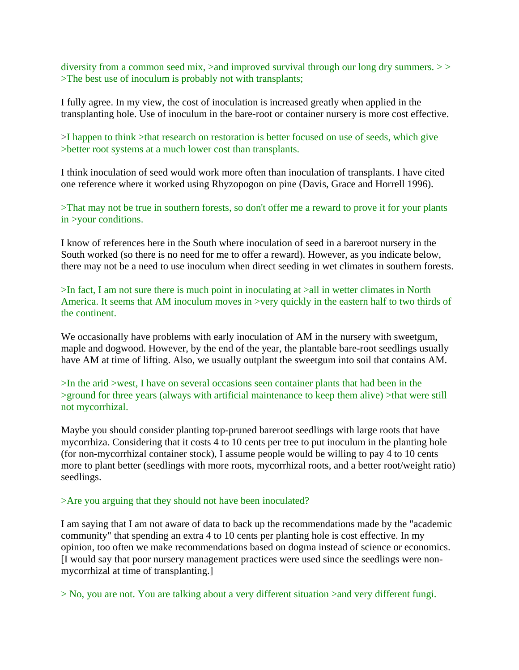diversity from a common seed mix, >and improved survival through our long dry summers. >> >The best use of inoculum is probably not with transplants;

I fully agree. In my view, the cost of inoculation is increased greatly when applied in the transplanting hole. Use of inoculum in the bare-root or container nursery is more cost effective.

>I happen to think >that research on restoration is better focused on use of seeds, which give >better root systems at a much lower cost than transplants.

I think inoculation of seed would work more often than inoculation of transplants. I have cited one reference where it worked using Rhyzopogon on pine (Davis, Grace and Horrell 1996).

>That may not be true in southern forests, so don't offer me a reward to prove it for your plants in >your conditions.

I know of references here in the South where inoculation of seed in a bareroot nursery in the South worked (so there is no need for me to offer a reward). However, as you indicate below, there may not be a need to use inoculum when direct seeding in wet climates in southern forests.

>In fact, I am not sure there is much point in inoculating at >all in wetter climates in North America. It seems that AM inoculum moves in >very quickly in the eastern half to two thirds of the continent.

We occasionally have problems with early inoculation of AM in the nursery with sweetgum, maple and dogwood. However, by the end of the year, the plantable bare-root seedlings usually have AM at time of lifting. Also, we usually outplant the sweetgum into soil that contains AM.

>In the arid >west, I have on several occasions seen container plants that had been in the >ground for three years (always with artificial maintenance to keep them alive) >that were still not mycorrhizal.

Maybe you should consider planting top-pruned bareroot seedlings with large roots that have mycorrhiza. Considering that it costs 4 to 10 cents per tree to put inoculum in the planting hole (for non-mycorrhizal container stock), I assume people would be willing to pay 4 to 10 cents more to plant better (seedlings with more roots, mycorrhizal roots, and a better root/weight ratio) seedlings.

### >Are you arguing that they should not have been inoculated?

I am saying that I am not aware of data to back up the recommendations made by the "academic community" that spending an extra 4 to 10 cents per planting hole is cost effective. In my opinion, too often we make recommendations based on dogma instead of science or economics. [I would say that poor nursery management practices were used since the seedlings were nonmycorrhizal at time of transplanting.]

> No, you are not. You are talking about a very different situation >and very different fungi.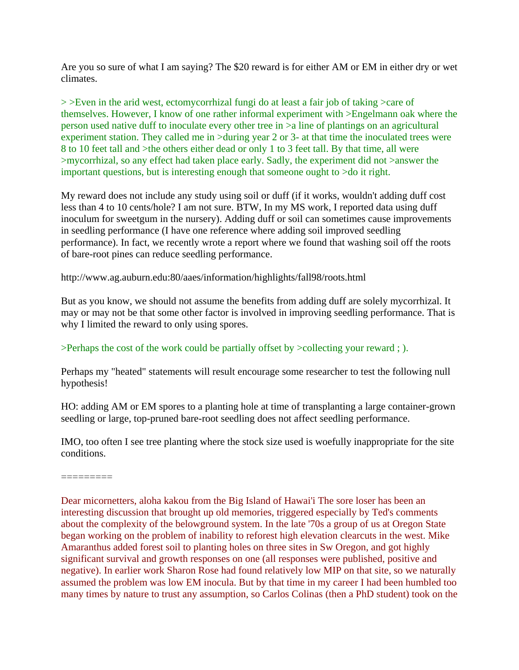Are you so sure of what I am saying? The \$20 reward is for either AM or EM in either dry or wet climates.

> >Even in the arid west, ectomycorrhizal fungi do at least a fair job of taking >care of themselves. However, I know of one rather informal experiment with >Engelmann oak where the person used native duff to inoculate every other tree in >a line of plantings on an agricultural experiment station. They called me in >during year 2 or 3- at that time the inoculated trees were 8 to 10 feet tall and >the others either dead or only 1 to 3 feet tall. By that time, all were >mycorrhizal, so any effect had taken place early. Sadly, the experiment did not >answer the important questions, but is interesting enough that someone ought to >do it right.

My reward does not include any study using soil or duff (if it works, wouldn't adding duff cost less than 4 to 10 cents/hole? I am not sure. BTW, In my MS work, I reported data using duff inoculum for sweetgum in the nursery). Adding duff or soil can sometimes cause improvements in seedling performance (I have one reference where adding soil improved seedling performance). In fact, we recently wrote a report where we found that washing soil off the roots of bare-root pines can reduce seedling performance.

http://www.ag.auburn.edu:80/aaes/information/highlights/fall98/roots.html

But as you know, we should not assume the benefits from adding duff are solely mycorrhizal. It may or may not be that some other factor is involved in improving seedling performance. That is why I limited the reward to only using spores.

# >Perhaps the cost of the work could be partially offset by >collecting your reward ; ).

Perhaps my "heated" statements will result encourage some researcher to test the following null hypothesis!

HO: adding AM or EM spores to a planting hole at time of transplanting a large container-grown seedling or large, top-pruned bare-root seedling does not affect seedling performance.

IMO, too often I see tree planting where the stock size used is woefully inappropriate for the site conditions.

=========

Dear micornetters, aloha kakou from the Big Island of Hawai'i The sore loser has been an interesting discussion that brought up old memories, triggered especially by Ted's comments about the complexity of the belowground system. In the late '70s a group of us at Oregon State began working on the problem of inability to reforest high elevation clearcuts in the west. Mike Amaranthus added forest soil to planting holes on three sites in Sw Oregon, and got highly significant survival and growth responses on one (all responses were published, positive and negative). In earlier work Sharon Rose had found relatively low MIP on that site, so we naturally assumed the problem was low EM inocula. But by that time in my career I had been humbled too many times by nature to trust any assumption, so Carlos Colinas (then a PhD student) took on the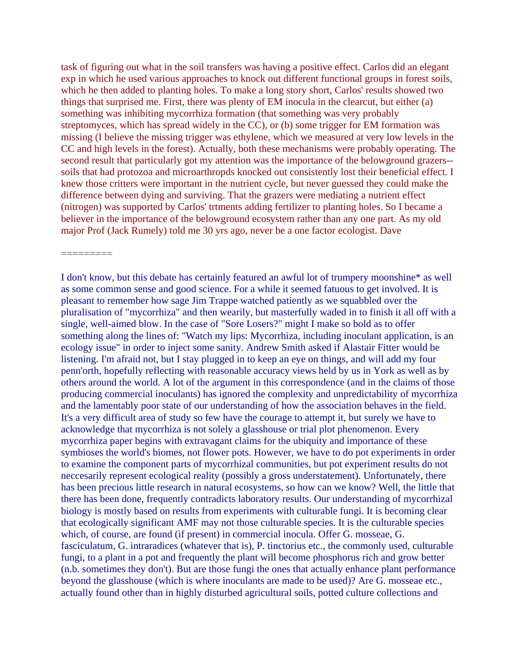task of figuring out what in the soil transfers was having a positive effect. Carlos did an elegant exp in which he used various approaches to knock out different functional groups in forest soils, which he then added to planting holes. To make a long story short, Carlos' results showed two things that surprised me. First, there was plenty of EM inocula in the clearcut, but either (a) something was inhibiting mycorrhiza formation (that something was very probably streptomyces, which has spread widely in the CC), or (b) some trigger for EM formation was missing (I believe the missing trigger was ethylene, which we measured at very low levels in the CC and high levels in the forest). Actually, both these mechanisms were probably operating. The second result that particularly got my attention was the importance of the belowground grazers- soils that had protozoa and microarthropds knocked out consistently lost their beneficial effect. I knew those critters were important in the nutrient cycle, but never guessed they could make the difference between dying and surviving. That the grazers were mediating a nutrient effect (nitrogen) was supported by Carlos' trtments adding fertilizer to planting holes. So I became a believer in the importance of the belowground ecosystem rather than any one part. As my old major Prof (Jack Rumely) told me 30 yrs ago, never be a one factor ecologist. Dave

=========

I don't know, but this debate has certainly featured an awful lot of trumpery moonshine\* as well as some common sense and good science. For a while it seemed fatuous to get involved. It is pleasant to remember how sage Jim Trappe watched patiently as we squabbled over the pluralisation of "mycorrhiza" and then wearily, but masterfully waded in to finish it all off with a single, well-aimed blow. In the case of "Sore Losers?" might I make so bold as to offer something along the lines of: "Watch my lips: Mycorrhiza, including inoculant application, is an ecology issue" in order to inject some sanity. Andrew Smith asked if Alastair Fitter would be listening. I'm afraid not, but I stay plugged in to keep an eye on things, and will add my four penn'orth, hopefully reflecting with reasonable accuracy views held by us in York as well as by others around the world. A lot of the argument in this correspondence (and in the claims of those producing commercial inoculants) has ignored the complexity and unpredictability of mycorrhiza and the lamentably poor state of our understanding of how the association behaves in the field. It's a very difficult area of study so few have the courage to attempt it, but surely we have to acknowledge that mycorrhiza is not solely a glasshouse or trial plot phenomenon. Every mycorrhiza paper begins with extravagant claims for the ubiquity and importance of these symbioses the world's biomes, not flower pots. However, we have to do pot experiments in order to examine the component parts of mycorrhizal communities, but pot experiment results do not neccesarily represent ecological reality (possibly a gross understatement). Unfortunately, there has been precious little research in natural ecosystems, so how can we know? Well, the little that there has been done, frequently contradicts laboratory results. Our understanding of mycorrhizal biology is mostly based on results from experiments with culturable fungi. It is becoming clear that ecologically significant AMF may not those culturable species. It is the culturable species which, of course, are found (if present) in commercial inocula. Offer G. mosseae, G. fasciculatum, G. intraradices (whatever that is), P. tinctorius etc., the commonly used, culturable fungi, to a plant in a pot and frequently the plant will become phosphorus rich and grow better (n.b. sometimes they don't). But are those fungi the ones that actually enhance plant performance beyond the glasshouse (which is where inoculants are made to be used)? Are G. mosseae etc., actually found other than in highly disturbed agricultural soils, potted culture collections and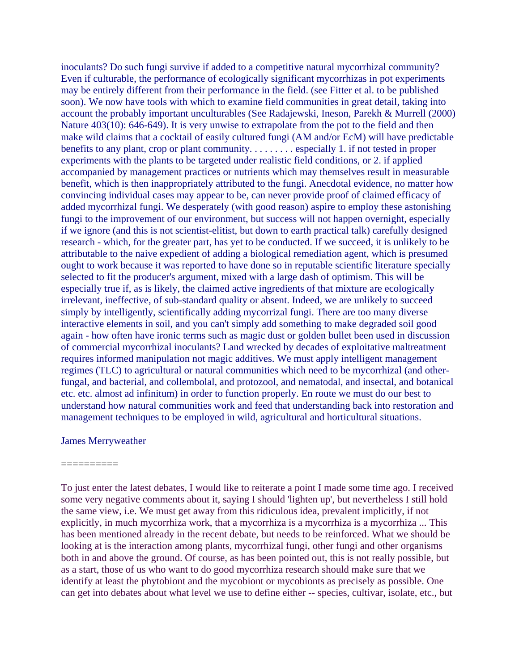inoculants? Do such fungi survive if added to a competitive natural mycorrhizal community? Even if culturable, the performance of ecologically significant mycorrhizas in pot experiments may be entirely different from their performance in the field. (see Fitter et al. to be published soon). We now have tools with which to examine field communities in great detail, taking into account the probably important unculturables (See Radajewski, Ineson, Parekh & Murrell (2000) Nature 403(10): 646-649). It is very unwise to extrapolate from the pot to the field and then make wild claims that a cocktail of easily cultured fungi (AM and/or EcM) will have predictable benefits to any plant, crop or plant community. . . . . . . . . especially 1. if not tested in proper experiments with the plants to be targeted under realistic field conditions, or 2. if applied accompanied by management practices or nutrients which may themselves result in measurable benefit, which is then inappropriately attributed to the fungi. Anecdotal evidence, no matter how convincing individual cases may appear to be, can never provide proof of claimed efficacy of added mycorrhizal fungi. We desperately (with good reason) aspire to employ these astonishing fungi to the improvement of our environment, but success will not happen overnight, especially if we ignore (and this is not scientist-elitist, but down to earth practical talk) carefully designed research - which, for the greater part, has yet to be conducted. If we succeed, it is unlikely to be attributable to the naive expedient of adding a biological remediation agent, which is presumed ought to work because it was reported to have done so in reputable scientific literature specially selected to fit the producer's argument, mixed with a large dash of optimism. This will be especially true if, as is likely, the claimed active ingredients of that mixture are ecologically irrelevant, ineffective, of sub-standard quality or absent. Indeed, we are unlikely to succeed simply by intelligently, scientifically adding mycorrizal fungi. There are too many diverse interactive elements in soil, and you can't simply add something to make degraded soil good again - how often have ironic terms such as magic dust or golden bullet been used in discussion of commercial mycorrhizal inoculants? Land wrecked by decades of exploitative maltreatment requires informed manipulation not magic additives. We must apply intelligent management regimes (TLC) to agricultural or natural communities which need to be mycorrhizal (and otherfungal, and bacterial, and collembolal, and protozool, and nematodal, and insectal, and botanical etc. etc. almost ad infinitum) in order to function properly. En route we must do our best to understand how natural communities work and feed that understanding back into restoration and management techniques to be employed in wild, agricultural and horticultural situations.

#### James Merryweather

### ==========

To just enter the latest debates, I would like to reiterate a point I made some time ago. I received some very negative comments about it, saying I should 'lighten up', but nevertheless I still hold the same view, i.e. We must get away from this ridiculous idea, prevalent implicitly, if not explicitly, in much mycorrhiza work, that a mycorrhiza is a mycorrhiza is a mycorrhiza ... This has been mentioned already in the recent debate, but needs to be reinforced. What we should be looking at is the interaction among plants, mycorrhizal fungi, other fungi and other organisms both in and above the ground. Of course, as has been pointed out, this is not really possible, but as a start, those of us who want to do good mycorrhiza research should make sure that we identify at least the phytobiont and the mycobiont or mycobionts as precisely as possible. One can get into debates about what level we use to define either -- species, cultivar, isolate, etc., but